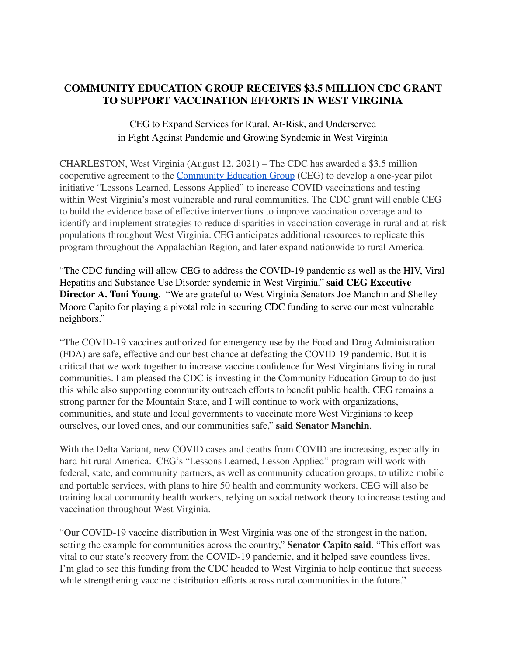## **COMMUNITY EDUCATION GROUP RECEIVES \$3.5 MILLION CDC GRANT TO SUPPORT VACCINATION EFFORTS IN WEST VIRGINIA**

## CEG to Expand Services for Rural, At-Risk, and Underserved in Fight Against Pandemic and Growing Syndemic in West Virginia

CHARLESTON, West Virginia (August 12, 2021) – The CDC has awarded a \$3.5 million cooperative agreement to the Community Education Group (CEG) to develop a one-year pilot initiative "Lessons Learned, Lessons Applied" to increase COVID vaccinations and testing within West Virginia's most vulnerable and rural communities. The CDC grant will enable CEG to build the evidence base of effective interventions to improve vaccination coverage and to identify and implement strategies to reduce disparities in vaccination coverage in rural and at-risk populations throughout West Virginia. CEG anticipates additional resources to replicate this program throughout the Appalachian Region, and later expand nationwide to rural America.

"The CDC funding will allow CEG to address the COVID-19 pandemic as well as the HIV, Viral Hepatitis and Substance Use Disorder syndemic in West Virginia," **said CEG Executive Director A. Toni Young**. "We are grateful to West Virginia Senators Joe Manchin and Shelley Moore Capito for playing a pivotal role in securing CDC funding to serve our most vulnerable neighbors."

"The COVID-19 vaccines authorized for emergency use by the Food and Drug Administration (FDA) are safe, effective and our best chance at defeating the COVID-19 pandemic. But it is critical that we work together to increase vaccine confidence for West Virginians living in rural communities. I am pleased the CDC is investing in the Community Education Group to do just this while also supporting community outreach efforts to benefit public health. CEG remains a strong partner for the Mountain State, and I will continue to work with organizations, communities, and state and local governments to vaccinate more West Virginians to keep ourselves, our loved ones, and our communities safe," **said Senator Manchin**.

With the Delta Variant, new COVID cases and deaths from COVID are increasing, especially in hard-hit rural America. CEG's "Lessons Learned, Lesson Applied" program will work with federal, state, and community partners, as well as community education groups, to utilize mobile and portable services, with plans to hire 50 health and community workers. CEG will also be training local community health workers, relying on social network theory to increase testing and vaccination throughout West Virginia.

"Our COVID-19 vaccine distribution in West Virginia was one of the strongest in the nation, setting the example for communities across the country," **Senator Capito said**. "This effort was vital to our state's recovery from the COVID-19 pandemic, and it helped save countless lives. I'm glad to see this funding from the CDC headed to West Virginia to help continue that success while strengthening vaccine distribution efforts across rural communities in the future."